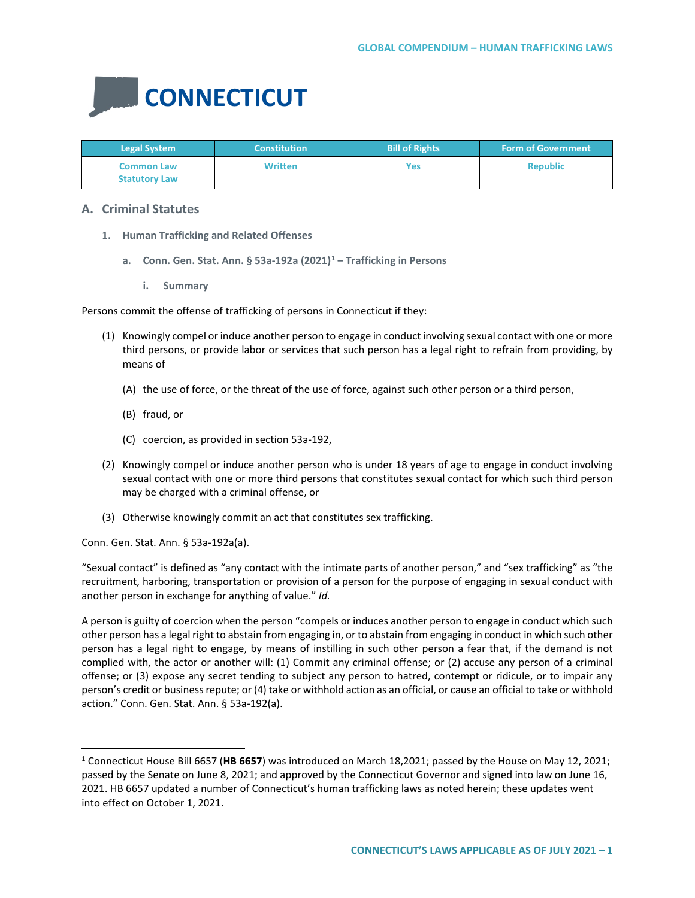

| <b>Legal System</b>                       | <b>Constitution</b> | <b>Bill of Rights</b> | <b>Form of Government</b> |
|-------------------------------------------|---------------------|-----------------------|---------------------------|
| <b>Common Law</b><br><b>Statutory Law</b> | <b>Written</b>      | Yes                   | <b>Republic</b>           |

# **A. Criminal Statutes**

- **1. Human Trafficking and Related Offenses**
	- **a. Conn. Gen. Stat. Ann. § 53a-192a (2021)[1](#page-0-0) – Trafficking in Persons**
		- **i. Summary**

Persons commit the offense of trafficking of persons in Connecticut if they:

- (1) Knowingly compel or induce another person to engage in conduct involving sexual contact with one or more third persons, or provide labor or services that such person has a legal right to refrain from providing, by means of
	- (A) the use of force, or the threat of the use of force, against such other person or a third person,
	- (B) fraud, or
	- (C) coercion, as provided in section 53a-192,
- (2) Knowingly compel or induce another person who is under 18 years of age to engage in conduct involving sexual contact with one or more third persons that constitutes sexual contact for which such third person may be charged with a criminal offense, or
- (3) Otherwise knowingly commit an act that constitutes sex trafficking.

Conn. Gen. Stat. Ann. § 53a-192a(a).

"Sexual contact" is defined as "any contact with the intimate parts of another person," and "sex trafficking" as "the recruitment, harboring, transportation or provision of a person for the purpose of engaging in sexual conduct with another person in exchange for anything of value." *Id.*

A person is guilty of coercion when the person "compels or induces another person to engage in conduct which such other person has a legal right to abstain from engaging in, or to abstain from engaging in conduct in which such other person has a legal right to engage, by means of instilling in such other person a fear that, if the demand is not complied with, the actor or another will: (1) Commit any criminal offense; or (2) accuse any person of a criminal offense; or (3) expose any secret tending to subject any person to hatred, contempt or ridicule, or to impair any person's credit or business repute; or (4) take or withhold action as an official, or cause an official to take or withhold action." Conn. Gen. Stat. Ann. § 53a-192(a).

<span id="page-0-0"></span> <sup>1</sup> Connecticut House Bill 6657 (**HB 6657**) was introduced on March 18,2021; passed by the House on May 12, 2021; passed by the Senate on June 8, 2021; and approved by the Connecticut Governor and signed into law on June 16, 2021. HB 6657 updated a number of Connecticut's human trafficking laws as noted herein; these updates went into effect on October 1, 2021.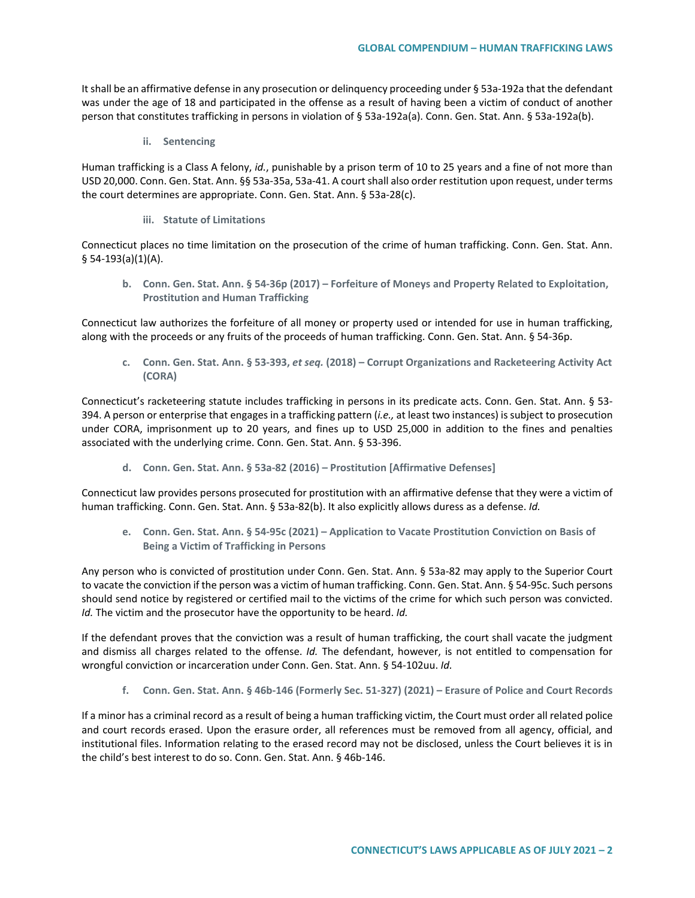It shall be an affirmative defense in any prosecution or delinquency proceeding under § 53a-192a that the defendant was under the age of 18 and participated in the offense as a result of having been a victim of conduct of another person that constitutes trafficking in persons in violation of § 53a-192a(a). Conn. Gen. Stat. Ann. § 53a-192a(b).

**ii. Sentencing**

Human trafficking is a Class A felony, *id.*, punishable by a prison term of 10 to 25 years and a fine of not more than USD 20,000. Conn. Gen. Stat. Ann. §§ 53a-35a, 53a-41. A court shall also order restitution upon request, under terms the court determines are appropriate. Conn. Gen. Stat. Ann. § 53a-28(c).

**iii. Statute of Limitations**

Connecticut places no time limitation on the prosecution of the crime of human trafficking. Conn. Gen. Stat. Ann.  $§ 54-193(a)(1)(A).$ 

**b. Conn. Gen. Stat. Ann. § 54-36p (2017) – Forfeiture of Moneys and Property Related to Exploitation, Prostitution and Human Trafficking**

Connecticut law authorizes the forfeiture of all money or property used or intended for use in human trafficking, along with the proceeds or any fruits of the proceeds of human trafficking. Conn. Gen. Stat. Ann. § 54-36p.

**c. Conn. Gen. Stat. Ann. § 53-393,** *et seq.* **(2018) – Corrupt Organizations and Racketeering Activity Act (CORA)**

Connecticut's racketeering statute includes trafficking in persons in its predicate acts. Conn. Gen. Stat. Ann. § 53- 394. A person or enterprise that engages in a trafficking pattern (*i.e.,* at least two instances) is subject to prosecution under CORA, imprisonment up to 20 years, and fines up to USD 25,000 in addition to the fines and penalties associated with the underlying crime. Conn. Gen. Stat. Ann. § 53-396.

**d. Conn. Gen. Stat. Ann. § 53a-82 (2016) – Prostitution [Affirmative Defenses]**

Connecticut law provides persons prosecuted for prostitution with an affirmative defense that they were a victim of human trafficking. Conn. Gen. Stat. Ann. § 53a-82(b). It also explicitly allows duress as a defense. *Id.*

**e. Conn. Gen. Stat. Ann. § 54-95c (2021) – Application to Vacate Prostitution Conviction on Basis of Being a Victim of Trafficking in Persons**

Any person who is convicted of prostitution under Conn. Gen. Stat. Ann. § 53a-82 may apply to the Superior Court to vacate the conviction if the person was a victim of human trafficking. Conn. Gen. Stat. Ann. § 54-95c. Such persons should send notice by registered or certified mail to the victims of the crime for which such person was convicted. *Id.* The victim and the prosecutor have the opportunity to be heard. *Id.*

If the defendant proves that the conviction was a result of human trafficking, the court shall vacate the judgment and dismiss all charges related to the offense. *Id.* The defendant, however, is not entitled to compensation for wrongful conviction or incarceration under Conn. Gen. Stat. Ann. § 54-102uu. *Id.*

**f. Conn. Gen. Stat. Ann. § 46b-146 (Formerly Sec. 51-327) (2021) – Erasure of Police and Court Records**

If a minor has a criminal record as a result of being a human trafficking victim, the Court must order all related police and court records erased. Upon the erasure order, all references must be removed from all agency, official, and institutional files. Information relating to the erased record may not be disclosed, unless the Court believes it is in the child's best interest to do so. Conn. Gen. Stat. Ann. § 46b-146.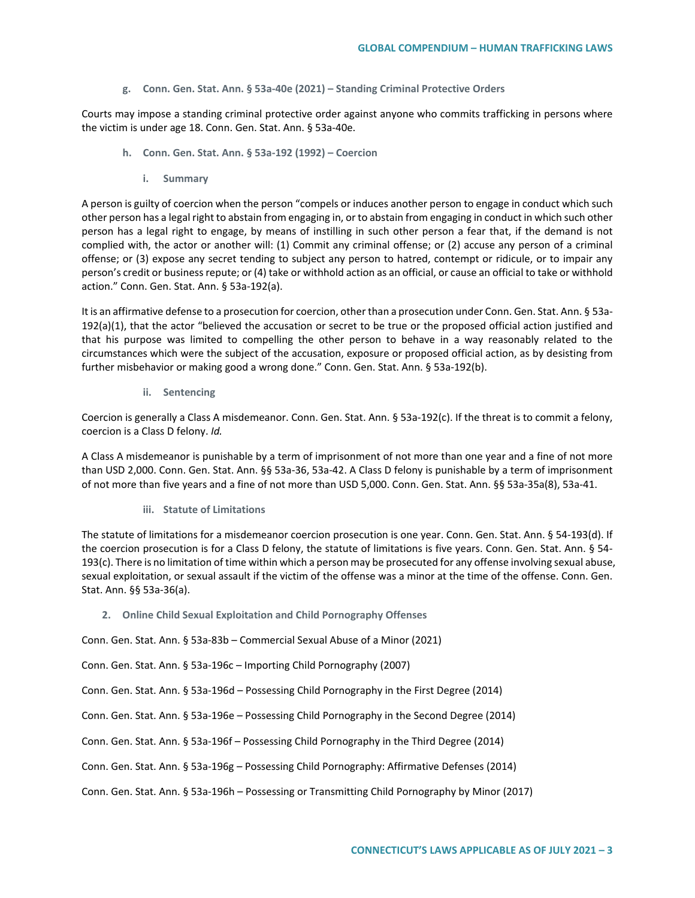#### **g. Conn. Gen. Stat. Ann. § 53a-40e (2021) – Standing Criminal Protective Orders**

Courts may impose a standing criminal protective order against anyone who commits trafficking in persons where the victim is under age 18. Conn. Gen. Stat. Ann. § 53a-40e.

- **h. Conn. Gen. Stat. Ann. § 53a-192 (1992) – Coercion**
	- **i. Summary**

A person is guilty of coercion when the person "compels or induces another person to engage in conduct which such other person has a legal right to abstain from engaging in, or to abstain from engaging in conduct in which such other person has a legal right to engage, by means of instilling in such other person a fear that, if the demand is not complied with, the actor or another will: (1) Commit any criminal offense; or (2) accuse any person of a criminal offense; or (3) expose any secret tending to subject any person to hatred, contempt or ridicule, or to impair any person's credit or business repute; or (4) take or withhold action as an official, or cause an official to take or withhold action." Conn. Gen. Stat. Ann. § 53a-192(a).

It is an affirmative defense to a prosecution for coercion, other than a prosecution under Conn. Gen. Stat. Ann. § 53a-192(a)(1), that the actor "believed the accusation or secret to be true or the proposed official action justified and that his purpose was limited to compelling the other person to behave in a way reasonably related to the circumstances which were the subject of the accusation, exposure or proposed official action, as by desisting from further misbehavior or making good a wrong done." Conn. Gen. Stat. Ann. § 53a-192(b).

**ii. Sentencing**

Coercion is generally a Class A misdemeanor. Conn. Gen. Stat. Ann. § 53a-192(c). If the threat is to commit a felony, coercion is a Class D felony. *Id.*

A Class A misdemeanor is punishable by a term of imprisonment of not more than one year and a fine of not more than USD 2,000. Conn. Gen. Stat. Ann. §§ 53a-36, 53a-42. A Class D felony is punishable by a term of imprisonment of not more than five years and a fine of not more than USD 5,000. Conn. Gen. Stat. Ann. §§ 53a-35a(8), 53a-41.

**iii. Statute of Limitations**

The statute of limitations for a misdemeanor coercion prosecution is one year. Conn. Gen. Stat. Ann. § 54-193(d). If the coercion prosecution is for a Class D felony, the statute of limitations is five years. Conn. Gen. Stat. Ann. § 54- 193(c). There is no limitation of time within which a person may be prosecuted for any offense involving sexual abuse, sexual exploitation, or sexual assault if the victim of the offense was a minor at the time of the offense. Conn. Gen. Stat. Ann. §§ 53a-36(a).

**2. Online Child Sexual Exploitation and Child Pornography Offenses**

Conn. Gen. Stat. Ann. § 53a-83b – Commercial Sexual Abuse of a Minor (2021)

Conn. Gen. Stat. Ann. § 53a-196c – Importing Child Pornography (2007)

Conn. Gen. Stat. Ann. § 53a-196d – Possessing Child Pornography in the First Degree (2014)

Conn. Gen. Stat. Ann. § 53a-196e – Possessing Child Pornography in the Second Degree (2014)

Conn. Gen. Stat. Ann. § 53a-196f – Possessing Child Pornography in the Third Degree (2014)

Conn. Gen. Stat. Ann. § 53a-196g – Possessing Child Pornography: Affirmative Defenses (2014)

Conn. Gen. Stat. Ann. § 53a-196h – Possessing or Transmitting Child Pornography by Minor (2017)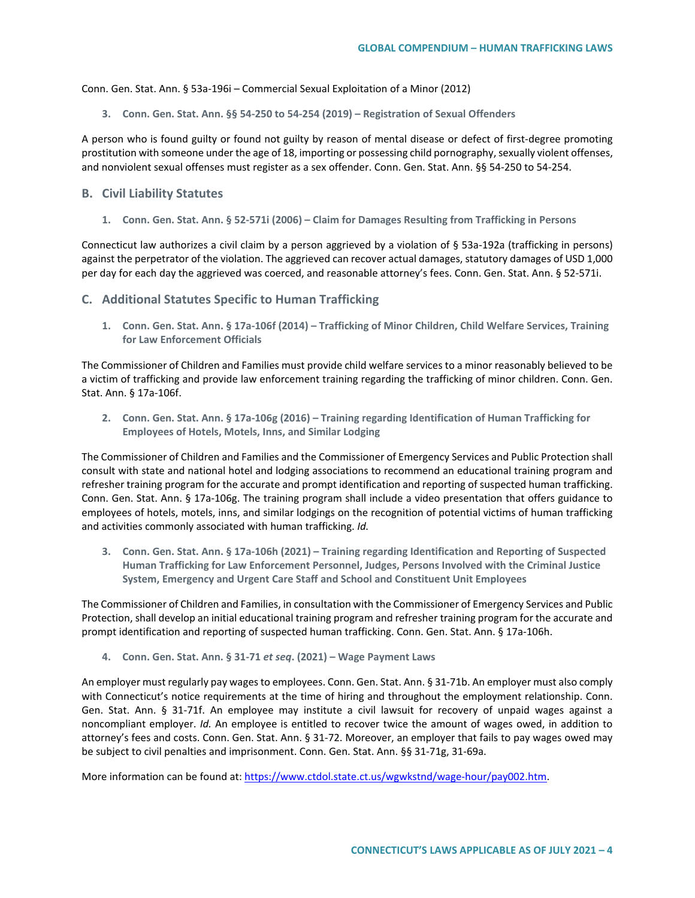Conn. Gen. Stat. Ann. § 53a-196i – Commercial Sexual Exploitation of a Minor (2012)

**3. Conn. Gen. Stat. Ann. §§ 54-250 to 54-254 (2019) – Registration of Sexual Offenders**

A person who is found guilty or found not guilty by reason of mental disease or defect of first-degree promoting prostitution with someone under the age of 18, importing or possessing child pornography, sexually violent offenses, and nonviolent sexual offenses must register as a sex offender. Conn. Gen. Stat. Ann. §§ 54-250 to 54-254.

### **B. Civil Liability Statutes**

**1. Conn. Gen. Stat. Ann. § 52-571i (2006) – Claim for Damages Resulting from Trafficking in Persons**

Connecticut law authorizes a civil claim by a person aggrieved by a violation of § 53a-192a (trafficking in persons) against the perpetrator of the violation. The aggrieved can recover actual damages, statutory damages of USD 1,000 per day for each day the aggrieved was coerced, and reasonable attorney's fees. Conn. Gen. Stat. Ann. § 52-571i.

**C. Additional Statutes Specific to Human Trafficking** 

**1. Conn. Gen. Stat. Ann. § 17a-106f (2014) – Trafficking of Minor Children, Child Welfare Services, Training for Law Enforcement Officials**

The Commissioner of Children and Families must provide child welfare services to a minor reasonably believed to be a victim of trafficking and provide law enforcement training regarding the trafficking of minor children. Conn. Gen. Stat. Ann. § 17a-106f.

**2. Conn. Gen. Stat. Ann. § 17a-106g (2016) – Training regarding Identification of Human Trafficking for Employees of Hotels, Motels, Inns, and Similar Lodging**

The Commissioner of Children and Families and the Commissioner of Emergency Services and Public Protection shall consult with state and national hotel and lodging associations to recommend an educational training program and refresher training program for the accurate and prompt identification and reporting of suspected human trafficking. Conn. Gen. Stat. Ann. § 17a-106g. The training program shall include a video presentation that offers guidance to employees of hotels, motels, inns, and similar lodgings on the recognition of potential victims of human trafficking and activities commonly associated with human trafficking. *Id.*

**3. Conn. Gen. Stat. Ann. § 17a-106h (2021) – Training regarding Identification and Reporting of Suspected Human Trafficking for Law Enforcement Personnel, Judges, Persons Involved with the Criminal Justice System, Emergency and Urgent Care Staff and School and Constituent Unit Employees**

The Commissioner of Children and Families, in consultation with the Commissioner of Emergency Services and Public Protection, shall develop an initial educational training program and refresher training program for the accurate and prompt identification and reporting of suspected human trafficking. Conn. Gen. Stat. Ann. § 17a-106h.

**4. Conn. Gen. Stat. Ann. § 31-71** *et seq***. (2021) – Wage Payment Laws** 

An employer must regularly pay wages to employees. Conn. Gen. Stat. Ann. § 31-71b. An employer must also comply with Connecticut's notice requirements at the time of hiring and throughout the employment relationship. Conn. Gen. Stat. Ann. § 31-71f. An employee may institute a civil lawsuit for recovery of unpaid wages against a noncompliant employer. *Id.* An employee is entitled to recover twice the amount of wages owed, in addition to attorney's fees and costs. Conn. Gen. Stat. Ann. § 31-72. Moreover, an employer that fails to pay wages owed may be subject to civil penalties and imprisonment. Conn. Gen. Stat. Ann. §§ 31-71g, 31-69a.

More information can be found at[: https://www.ctdol.state.ct.us/wgwkstnd/wage-hour/pay002.htm.](https://www.ctdol.state.ct.us/wgwkstnd/wage-hour/pay002.htm)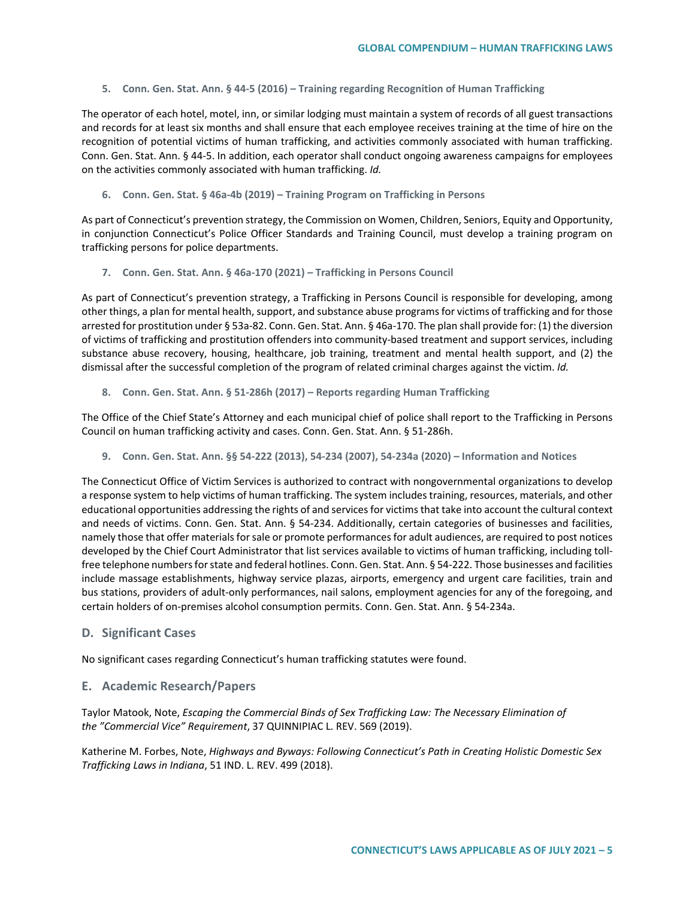**5. Conn. Gen. Stat. Ann. § 44-5 (2016) – Training regarding Recognition of Human Trafficking**

The operator of each hotel, motel, inn, or similar lodging must maintain a system of records of all guest transactions and records for at least six months and shall ensure that each employee receives training at the time of hire on the recognition of potential victims of human trafficking, and activities commonly associated with human trafficking. Conn. Gen. Stat. Ann. § 44-5. In addition, each operator shall conduct ongoing awareness campaigns for employees on the activities commonly associated with human trafficking. *Id.*

**6. Conn. Gen. Stat. § 46a-4b (2019) – Training Program on Trafficking in Persons**

As part of Connecticut's prevention strategy, the Commission on Women, Children, Seniors, Equity and Opportunity, in conjunction Connecticut's Police Officer Standards and Training Council, must develop a training program on trafficking persons for police departments.

**7. Conn. Gen. Stat. Ann. § 46a-170 (2021) – Trafficking in Persons Council** 

As part of Connecticut's prevention strategy, a Trafficking in Persons Council is responsible for developing, among other things, a plan for mental health, support, and substance abuse programs for victims of trafficking and for those arrested for prostitution under § 53a-82. Conn. Gen. Stat. Ann. § 46a-170. The plan shall provide for: (1) the diversion of victims of trafficking and prostitution offenders into community-based treatment and support services, including substance abuse recovery, housing, healthcare, job training, treatment and mental health support, and (2) the dismissal after the successful completion of the program of related criminal charges against the victim. *Id.*

**8. Conn. Gen. Stat. Ann. § 51-286h (2017) – Reports regarding Human Trafficking**

The Office of the Chief State's Attorney and each municipal chief of police shall report to the Trafficking in Persons Council on human trafficking activity and cases. Conn. Gen. Stat. Ann. § 51-286h.

**9. Conn. Gen. Stat. Ann. §§ 54-222 (2013), 54-234 (2007), 54-234a (2020) – Information and Notices**

The Connecticut Office of Victim Services is authorized to contract with nongovernmental organizations to develop a response system to help victims of human trafficking. The system includes training, resources, materials, and other educational opportunities addressing the rights of and services for victims that take into account the cultural context and needs of victims. Conn. Gen. Stat. Ann. § 54-234. Additionally, certain categories of businesses and facilities, namely those that offer materials for sale or promote performances for adult audiences, are required to post notices developed by the Chief Court Administrator that list services available to victims of human trafficking, including tollfree telephone numbers for state and federal hotlines. Conn. Gen. Stat. Ann. § 54-222. Those businesses and facilities include massage establishments, highway service plazas, airports, emergency and urgent care facilities, train and bus stations, providers of adult-only performances, nail salons, employment agencies for any of the foregoing, and certain holders of on-premises alcohol consumption permits. Conn. Gen. Stat. Ann. § 54-234a.

## **D. Significant Cases**

No significant cases regarding Connecticut's human trafficking statutes were found.

#### **E. Academic Research/Papers**

Taylor Matook, Note, *Escaping the Commercial Binds of Sex Trafficking Law: The Necessary Elimination of the "Commercial Vice" Requirement*, 37 QUINNIPIAC L. REV. 569 (2019).

Katherine M. Forbes, Note, *Highways and Byways: Following Connecticut's Path in Creating Holistic Domestic Sex Trafficking Laws in Indiana*, 51 IND. L. REV. 499 (2018).